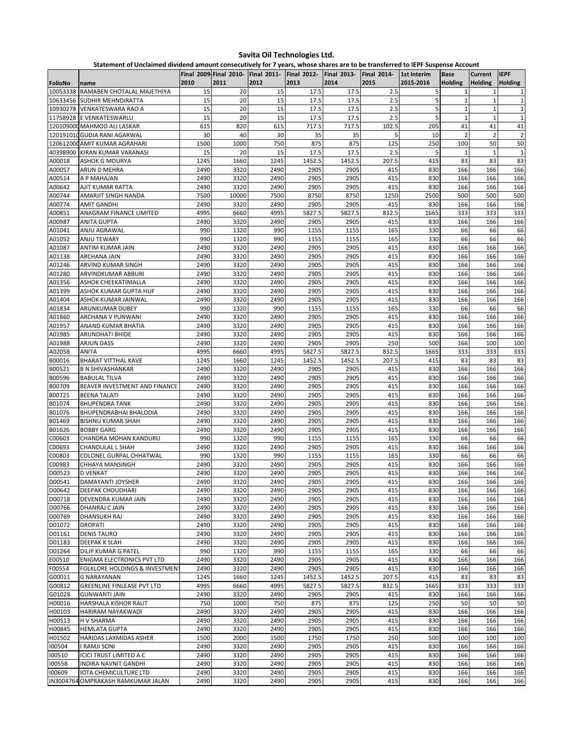**Statement of Unclaimed dividend amount consecutively for 7 years, whose shares are to be transferred to IEPF Suspense Account**

|                  |                                                       |              |               |              | Final 2009 Final 2010- Final 2011- Final 2012- Final 2013- |                | <b>Final 2014-</b> | 1st Interim | <b>Base</b>       | Current           | <b>IEPF</b>                 |
|------------------|-------------------------------------------------------|--------------|---------------|--------------|------------------------------------------------------------|----------------|--------------------|-------------|-------------------|-------------------|-----------------------------|
| FolioNo          | name                                                  | 2010         | 2011          | 2012         | 2013                                                       | 2014           | 2015               | 2015-2016   | <b>Holding</b>    | <b>Holding</b>    | <b>Holding</b>              |
| 10053338         | RAMABEN CHOTALAL MAJETHIYA                            | 15           | 20            | 15           | 17.5                                                       | 17.5           | 2.5                | 5           | $\mathbf{1}$      |                   | $\mathbf{1}$                |
| 10633456         | SUDHIR MEHNDIRATTA                                    | 15           | 20            | 15           | 17.5                                                       | 17.5           | 2.5                | 5           | $1\,$             | $\mathbf{1}$      | $\mathbf 1$                 |
| 11758928         | 10930278 VENKATESWARA RAO A<br>E VENKATESWARLU        | 15<br>15     | 20<br>20      | 15<br>15     | 17.5<br>17.5                                               | 17.5<br>17.5   | 2.5<br>2.5         | 5<br>5      | 1<br>$\mathbf{1}$ | 1<br>$\mathbf{1}$ | $\mathbf 1$<br>$\mathbf{1}$ |
|                  | 120109000 MAHMOD ALI LASKAR                           | 615          | 820           | 615          | 717.5                                                      | 717.5          | 102.5              | 205         | 41                | 41                | 41                          |
|                  | 120191010 GUDIA RANI AGARWAL                          | 30           | 40            | 30           | 35                                                         | 35             | 5                  | 10          | $\overline{2}$    | $\overline{2}$    | $\overline{2}$              |
|                  | 120612000 AMIT KUMAR AGRAHARI                         | 1500         | 1000          | 750          | 875                                                        | 875            | 125                | 250         | 100               | 50                | 50                          |
| 40398900         | KIRAN KUMAR VARANASI                                  | 15           | 20            | 15           | 17.5                                                       | 17.5           | 2.5                | 5           | $\mathbf{1}$      | 1                 | $\mathbf{1}$                |
| A00018           | <b>ASHOK G MOURYA</b>                                 | 1245         | 1660          | 1245         | 1452.5                                                     | 1452.5         | 207.5              | 415         | 83                | 83                | 83                          |
| A00057           | ARUN D MEHRA                                          | 2490         | 3320          | 2490         | 2905                                                       | 2905           | 415                | 830         | 166               | 166               | 166                         |
| A00514           | A P MAHAJAN                                           | 2490         | 3320          | 2490         | 2905                                                       | 2905           | 415                | 830         | 166               | 166               | 166                         |
| A00642<br>A00744 | AJIT KUMAR RATTA<br>AMARJIT SINGH NANDA               | 2490<br>7500 | 3320<br>10000 | 2490<br>7500 | 2905<br>8750                                               | 2905<br>8750   | 415<br>1250        | 830<br>2500 | 166<br>500        | 166<br>500        | 166<br>500                  |
| A00774           | AMIT GANDHI                                           | 2490         | 3320          | 2490         | 2905                                                       | 2905           | 415                | 830         | 166               | 166               | 166                         |
| A00851           | ANAGRAM FINANCE LIMITED                               | 4995         | 6660          | 4995         | 5827.5                                                     | 5827.5         | 832.5              | 1665        | 333               | 333               | 333                         |
| A00987           | <b>ANITA GUPTA</b>                                    | 2490         | 3320          | 2490         | 2905                                                       | 2905           | 415                | 830         | 166               | 166               | 166                         |
| A01041           | ANJU AGRAWAL                                          | 990          | 1320          | 990          | 1155                                                       | 1155           | 165                | 330         | 66                | 66                | 66                          |
| A01052           | <b>ANJU TEWARY</b>                                    | 990          | 1320          | 990          | 1155                                                       | 1155           | 165                | 330         | 66                | 66                | 66                          |
| A01087           | ANTIM KUMAR JAIN                                      | 2490         | 3320          | 2490         | 2905                                                       | 2905           | 415                | 830         | 166               | 166               | 166                         |
| A01138           | <b>ARCHANA JAIN</b>                                   | 2490         | 3320          | 2490         | 2905                                                       | 2905           | 415                | 830         | 166               | 166               | 166                         |
| A01246           | ARVIND KUMAR SINGH                                    | 2490         | 3320          | 2490         | 2905                                                       | 2905           | 415                | 830         | 166               | 166               | 166                         |
| A01280<br>A01356 | ARVINDKUMAR ABBURI<br>ASHOK CHEEKATIMALLA             | 2490<br>2490 | 3320<br>3320  | 2490<br>2490 | 2905<br>2905                                               | 2905<br>2905   | 415<br>415         | 830<br>830  | 166<br>166        | 166<br>166        | 166<br>166                  |
| A01399           | ASHOK KUMAR GUPTA HUF                                 | 2490         | 3320          | 2490         | 2905                                                       | 2905           | 415                | 830         | 166               | 166               | 166                         |
| A01404           | ASHOK KUMAR JAINWAL                                   | 2490         | 3320          | 2490         | 2905                                                       | 2905           | 415                | 830         | 166               | 166               | 166                         |
| A01834           | ARUNKUMAR DUBEY                                       | 990          | 1320          | 990          | 1155                                                       | 1155           | 165                | 330         | 66                | 66                | 66                          |
| A01860           | ARCHANA V PUNWANI                                     | 2490         | 3320          | 2490         | 2905                                                       | 2905           | 415                | 830         | 166               | 166               | 166                         |
| A01957           | ANAND KUMAR BHATIA                                    | 2490         | 3320          | 2490         | 2905                                                       | 2905           | 415                | 830         | 166               | 166               | 166                         |
| A01985           | ARUNDHATI BHIDE                                       | 2490         | 3320          | 2490         | 2905                                                       | 2905           | 415                | 830         | 166               | 166               | 166                         |
| A01988           | <b>ARJUN DASS</b>                                     | 2490         | 3320          | 2490         | 2905                                                       | 2905           | 250                | 500         | 166               | 100               | 100                         |
| A02058           | ANITA                                                 | 4995         | 6660          | 4995         | 5827.5                                                     | 5827.5         | 832.5              | 1665        | 333               | 333               | 333                         |
| B00016<br>B00521 | <b>BHARAT VITTHAL KAVE</b><br><b>B N SHIVASHANKAR</b> | 1245<br>2490 | 1660<br>3320  | 1245<br>2490 | 1452.5<br>2905                                             | 1452.5<br>2905 | 207.5<br>415       | 415<br>830  | 83<br>166         | 83<br>166         | 83<br>166                   |
| B00596           | <b>BABULAL TILVA</b>                                  | 2490         | 3320          | 2490         | 2905                                                       | 2905           | 415                | 830         | 166               | 166               | 166                         |
| B00709           | BEAVER INVESTMENT AND FINANCE                         | 2490         | 3320          | 2490         | 2905                                                       | 2905           | 415                | 830         | 166               | 166               | 166                         |
| B00721           | <b>BEENA TALATI</b>                                   | 2490         | 3320          | 2490         | 2905                                                       | 2905           | 415                | 830         | 166               | 166               | 166                         |
| B01074           | <b>BHUPENDRA TANK</b>                                 | 2490         | 3320          | 2490         | 2905                                                       | 2905           | 415                | 830         | 166               | 166               | 166                         |
| B01076           | BHUPENDRABHAI BHALODIA                                | 2490         | 3320          | 2490         | 2905                                                       | 2905           | 415                | 830         | 166               | 166               | 166                         |
| B01469           | <b>BISHNU KUMAR SHAH</b>                              | 2490         | 3320          | 2490         | 2905                                                       | 2905           | 415                | 830         | 166               | 166               | 166                         |
| B01626           | <b>BOBBY GARG</b>                                     | 2490         | 3320          | 2490         | 2905                                                       | 2905           | 415                | 830         | 166               | 166               | 166                         |
| C00603           | CHANDRA MOHAN KANDURU                                 | 990          | 1320          | 990          | 1155                                                       | 1155           | 165                | 330         | 66                | 66                | 66                          |
| C00693<br>C00803 | CHANDULAL L SHAH<br>COLONEL GURPAL CHHATWAL           | 2490<br>990  | 3320<br>1320  | 2490<br>990  | 2905<br>1155                                               | 2905<br>1155   | 415<br>165         | 830<br>330  | 166<br>66         | 166<br>66         | 166<br>66                   |
| C00983           | <b>CHHAYA MANSINGH</b>                                | 2490         | 3320          | 2490         | 2905                                                       | 2905           | 415                | 830         | 166               | 166               | 166                         |
| D00523           | <b>D VENKAT</b>                                       | 2490         | 3320          | 2490         | 2905                                                       | 2905           | 415                | 830         | 166               | 166               | 166                         |
| D00541           | DAMAYANTI JOYSHER                                     | 2490         | 3320          | 2490         | 2905                                                       | 2905           | 415                | 830         | 166               | 166               | 166                         |
| D00642           | <b>DEEPAK CHOUDHARI</b>                               | 2490         | 3320          | 2490         | 2905                                                       | 2905           | 415                | 830         | 166               | 166               | 166                         |
| D00718           | DEVENDRA KUMAR JAIN                                   | 2490         | 3320          | 2490         | 2905                                                       | 2905           | 415                | 830         | 166               | 166               | 166                         |
| D00766           | DHANRAJ C JAIN                                        | 2490         | 3320          | 2490         | 2905                                                       | 2905           | 415                | 830         | 166               | 166               | 166                         |
| D00769           | <b>DHANSUKH RAJ</b>                                   | 2490         | 3320          | 2490         | 2905                                                       | 2905           | 415                | 830         | 166               | 166               | 166                         |
| D01072           | <b>DROPATI</b>                                        | 2490         | 3320          | 2490         | 2905                                                       | 2905           | 415                | 830         | 166               | 166               | 166                         |
| D01161<br>D01183 | <b>DENIS TAURO</b><br><b>DEEPAK K SLAH</b>            | 2490<br>2490 | 3320<br>3320  | 2490<br>2490 | 2905<br>2905                                               | 2905<br>2905   | 415<br>415         | 830<br>830  | 166<br>166        | 166<br>166        | 166<br>166                  |
| D01264           | DILIP KUMAR G PATEL                                   | 990          | 1320          | 990          | 1155                                                       | 1155           | 165                | 330         | 66                | 66                | 66                          |
| E00510           | <b>ENIGMA ELECTRONICS PVT LTD</b>                     | 2490         | 3320          | 2490         | 2905                                                       | 2905           | 415                | 830         | 166               | 166               | 166                         |
| F00554           | FOLKLORE HOLDINGS & INVESTMENT                        | 2490         | 3320          | 2490         | 2905                                                       | 2905           | 415                | 830         | 166               | 166               | 166                         |
| G00011           | <b>G NARAYANAN</b>                                    | 1245         | 1660          | 1245         | 1452.5                                                     | 1452.5         | 207.5              | 415         | 83                | 83                | 83                          |
| G00812           | <b>GREENLINE FINLEASE PVT LTD</b>                     | 4995         | 6660          | 4995         | 5827.5                                                     | 5827.5         | 832.5              | 1665        | 333               | 333               | 333                         |
| G01028           | <b>GUNWANTI JAIN</b>                                  | 2490         | 3320          | 2490         | 2905                                                       | 2905           | 415                | 830         | 166               | 166               | 166                         |
| H00016           | HARSHALA KISHOR RAUT                                  | 750          | 1000          | 750          | 875                                                        | 875            | 125                | 250         | 50                | 50                | 50                          |
| H00103           | HARIRAM NAYAKWADI                                     | 2490         | 3320          | 2490         | 2905                                                       | 2905           | 415                | 830         | 166               | 166               | 166                         |
| H00513<br>H00845 | H V SHARMA<br><b>HEMLATA GUPTA</b>                    | 2490<br>2490 | 3320<br>3320  | 2490<br>2490 | 2905<br>2905                                               | 2905<br>2905   | 415<br>415         | 830<br>830  | 166<br>166        | 166<br>166        | 166<br>166                  |
| H01502           | HARIDAS LAXMIDAS ASHER                                | 1500         | 2000          | 1500         | 1750                                                       | 1750           | 250                | 500         | 100               | 100               | 100                         |
| 100504           | I RAMJI SONI                                          | 2490         | 3320          | 2490         | 2905                                                       | 2905           | 415                | 830         | 166               | 166               | 166                         |
| 100510           | <b>ICICI TRUST LIMITED A C</b>                        | 2490         | 3320          | 2490         | 2905                                                       | 2905           | 415                | 830         | 166               | 166               | 166                         |
| 100558           | INDIRA NAVNIT GANDHI                                  | 2490         | 3320          | 2490         | 2905                                                       | 2905           | 415                | 830         | 166               | 166               | 166                         |
| 100609           | <b>IOTA CHEMICULTURE LTD</b>                          | 2490         | 3320          | 2490         | 2905                                                       | 2905           | 415                | 830         | 166               | 166               | 166                         |
|                  | IN3004764 OMPRAKASH RAMKUMAR JALAN                    | 2490         | 3320          | 2490         | 2905                                                       | 2905           | 415                | 830         | 166               | 166               | 166                         |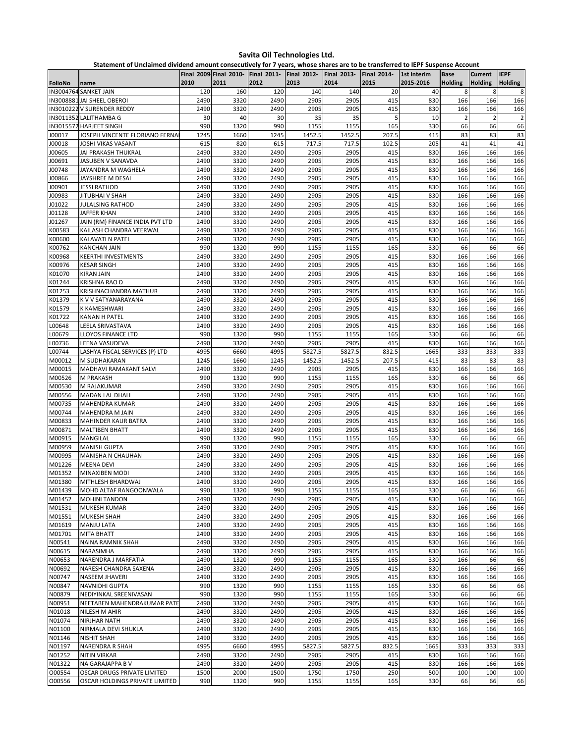**Statement of Unclaimed dividend amount consecutively for 7 years, whose shares are to be transferred to IEPF Suspense Account**

|                  |                                          |              | Final 2009 Final 2010- | <b>Final 2011-</b> | <b>Final 2012-</b> | <b>Final 2013-</b> | <b>Final 2014-</b> | 1st Interim | <b>Base</b>    | <b>Current</b> | <b>IEPF</b>    |
|------------------|------------------------------------------|--------------|------------------------|--------------------|--------------------|--------------------|--------------------|-------------|----------------|----------------|----------------|
| FolioNo          | name                                     | 2010         | 2011                   | 2012               | 2013               | 2014               | 2015               | 2015-2016   | <b>Holding</b> | <b>Holding</b> | <b>Holding</b> |
|                  | IN3004764 SANKET JAIN                    | 120          | 160                    | 120                | 140                | 140                | 20                 | 40          | 8              | 8              | 8              |
|                  | IN3008881 JAI SHEEL OBEROI               | 2490         | 3320                   | 2490               | 2905               | 2905               | 415                | 830         | 166            | 166            | 166            |
|                  | IN3010222 V SURENDER REDDY               | 2490         | 3320                   | 2490               | 2905               | 2905               | 415                | 830         | 166            | 166            | 166            |
|                  | IN3011352 LALITHAMBA G                   | 30           | 40                     | 30                 | 35                 | 35                 | 5                  | 10          | $\overline{2}$ | $\overline{2}$ | $\overline{2}$ |
|                  | IN3015572 HARJEET SINGH                  | 990          | 1320                   | 990                | 1155               | 1155               | 165                | 330         | 66             | 66             | 66             |
| J00017           | JOSEPH VINCENTE FLORIANO FERNA           | 1245         | 1660                   | 1245               | 1452.5             | 1452.5             | 207.5              | 415         | 83             | 83             | 83             |
| J00018           | JOSHI VIKAS VASANT                       | 615          | 820                    | 615                | 717.5              | 717.5              | 102.5              | 205         | 41             | 41             | 41             |
| J00605           | JAI PRAKASH THUKRAL                      | 2490         | 3320                   | 2490               | 2905               | 2905               | 415                | 830         | 166            | 166            | 166            |
| J00691<br>J00748 | JASUBEN V SANAVDA<br>JAYANDRA M WAGHELA  | 2490<br>2490 | 3320<br>3320           | 2490<br>2490       | 2905<br>2905       | 2905<br>2905       | 415<br>415         | 830<br>830  | 166<br>166     | 166<br>166     | 166<br>166     |
| J00866           | JAYSHREE M DESAI                         | 2490         | 3320                   | 2490               | 2905               | 2905               | 415                | 830         | 166            | 166            | 166            |
| J00901           | JESSI RATHOD                             | 2490         | 3320                   | 2490               | 2905               | 2905               | 415                | 830         | 166            | 166            | 166            |
| J00983           | JITUBHAI V SHAH                          | 2490         | 3320                   | 2490               | 2905               | 2905               | 415                | 830         | 166            | 166            | 166            |
| J01022           | <b>JULALSING RATHOD</b>                  | 2490         | 3320                   | 2490               | 2905               | 2905               | 415                | 830         | 166            | 166            | 166            |
| J01128           | JAFFER KHAN                              | 2490         | 3320                   | 2490               | 2905               | 2905               | 415                | 830         | 166            | 166            | 166            |
| J01267           | JAIN (RM) FINANCE INDIA PVT LTD          | 2490         | 3320                   | 2490               | 2905               | 2905               | 415                | 830         | 166            | 166            | 166            |
| K00583           | KAILASH CHANDRA VEERWAL                  | 2490         | 3320                   | 2490               | 2905               | 2905               | 415                | 830         | 166            | 166            | 166            |
| K00600           | KALAVATI N PATEL                         | 2490         | 3320                   | 2490               | 2905               | 2905               | 415                | 830         | 166            | 166            | 166            |
| K00762           | <b>KANCHAN JAIN</b>                      | 990          | 1320                   | 990                | 1155               | 1155               | 165                | 330         | 66             | 66             | 66             |
| K00968           | <b>KEERTHI INVESTMENTS</b>               | 2490         | 3320                   | 2490               | 2905               | 2905               | 415                | 830         | 166            | 166            | 166            |
| K00976           | <b>KESAR SINGH</b>                       | 2490         | 3320                   | 2490               | 2905               | 2905               | 415                | 830         | 166            | 166            | 166            |
| K01070           | <b>KIRAN JAIN</b>                        | 2490         | 3320                   | 2490               | 2905               | 2905               | 415                | 830         | 166            | 166            | 166            |
| K01244           | KRISHNA RAO D                            | 2490         | 3320                   | 2490               | 2905               | 2905               | 415                | 830         | 166            | 166            | 166            |
| K01253           | KRISHNACHANDRA MATHUR                    | 2490         | 3320                   | 2490               | 2905               | 2905               | 415                | 830         | 166            | 166            | 166            |
| K01379           | K V V SATYANARAYANA                      | 2490         | 3320                   | 2490               | 2905               | 2905               | 415                | 830         | 166            | 166            | 166            |
| K01579           | K KAMESHWARI                             | 2490         | 3320                   | 2490               | 2905               | 2905               | 415                | 830         | 166            | 166            | 166            |
| K01722           | <b>KANAN H PATEL</b>                     | 2490         | 3320                   | 2490               | 2905               | 2905               | 415                | 830         | 166            | 166            | 166            |
| L00648           | LEELA SRIVASTAVA                         | 2490         | 3320                   | 2490               | 2905               | 2905               | 415                | 830         | 166            | 166            | 166            |
| L00679           | <b>LLOYOS FINANCE LTD</b>                | 990          | 1320                   | 990                | 1155               | 1155               | 165                | 330         | 66             | 66             | 66             |
| L00736           | LEENA VASUDEVA                           | 2490         | 3320                   | 2490               | 2905               | 2905               | 415                | 830         | 166            | 166            | 166            |
| L00744           | LASHYA FISCAL SERVICES (P) LTD           | 4995         | 6660                   | 4995               | 5827.5             | 5827.5             | 832.5              | 1665        | 333            | 333            | 333            |
| M00012<br>M00015 | M SUDHAKARAN                             | 1245<br>2490 | 1660<br>3320           | 1245<br>2490       | 1452.5<br>2905     | 1452.5<br>2905     | 207.5<br>415       | 415<br>830  | 83<br>166      | 83<br>166      | 83             |
| M00526           | MADHAVI RAMAKANT SALVI<br>M PRAKASH      | 990          | 1320                   | 990                | 1155               | 1155               | 165                | 330         | 66             | 66             | 166<br>66      |
| M00530           | M RAJAKUMAR                              | 2490         | 3320                   | 2490               | 2905               | 2905               | 415                | 830         | 166            | 166            | 166            |
| M00556           | MADAN LAL DHALL                          | 2490         | 3320                   | 2490               | 2905               | 2905               | 415                | 830         | 166            | 166            | 166            |
| M00735           | MAHENDRA KUMAR                           | 2490         | 3320                   | 2490               | 2905               | 2905               | 415                | 830         | 166            | 166            | 166            |
| M00744           | MAHENDRA M JAIN                          | 2490         | 3320                   | 2490               | 2905               | 2905               | 415                | 830         | 166            | 166            | 166            |
| M00833           | <b>MAHINDER KAUR BATRA</b>               | 2490         | 3320                   | 2490               | 2905               | 2905               | 415                | 830         | 166            | 166            | 166            |
| M00871           | <b>MALTIBEN BHATT</b>                    | 2490         | 3320                   | 2490               | 2905               | 2905               | 415                | 830         | 166            | 166            | 166            |
| M00915           | <b>MANGILAL</b>                          | 990          | 1320                   | 990                | 1155               | 1155               | 165                | 330         | 66             | 66             | 66             |
| M00959           | <b>MANISH GUPTA</b>                      | 2490         | 3320                   | 2490               | 2905               | 2905               | 415                | 830         | 166            | 166            | 166            |
| M00995           | MANISHA N CHAUHAN                        | 2490         | 3320                   | 2490               | 2905               | 2905               | 415                | 830         | 166            | 166            | 166            |
| M01226           | <b>MEENA DEVI</b>                        | 2490         | 3320                   | 2490               | 2905               | 2905               | 415                | 830         | 166            | 166            | 166            |
| M01352           | MINAXIBEN MODI                           | 2490         | 3320                   | 2490               | 2905               | 2905               | 415                | 830         | 166            | 166            | 166            |
| M01380           | MITHLESH BHARDWAJ                        | 2490         | 3320                   | 2490               | 2905               | 2905               | 415                | 830         | 166            | 166            | 166            |
| M01439           | MOHD ALTAF RANGOONWALA                   | 990          | 1320                   | 990                | 1155               | 1155               | 165                | 330         | 66             | 66             | 66             |
| M01452           | <b>MOHINI TANDON</b>                     | 2490         | 3320                   | 2490               | 2905               | 2905               | 415                | 830         | 166            | 166            | 166            |
| M01531           | MUKESH KUMAR                             | 2490         | 3320                   | 2490               | 2905               | 2905               | 415                | 830         | 166            | 166            | 166            |
| M01551           | <b>MUKESH SHAH</b>                       | 2490         | 3320                   | 2490               | 2905               | 2905               | 415                | 830         | 166            | 166            | 166            |
| M01619           | <b>MANJU LATA</b>                        | 2490         | 3320                   | 2490               | 2905               | 2905               | 415                | 830         | 166            | 166            | 166            |
| M01701           | MITA BHATT                               | 2490         | 3320                   | 2490               | 2905               | 2905               | 415                | 830         | 166            | 166            | 166            |
| N00541           | <b>NAINA RAMNIK SHAH</b>                 | 2490         | 3320                   | 2490               | 2905               | 2905               | 415                | 830         | 166            | 166            | 166            |
| N00615           | NARASIMHA                                | 2490         | 3320                   | 2490               | 2905               | 2905               | 415                | 830         | 166            | 166            | 166            |
| N00653           | NARENDRA J MARFATIA                      | 2490         | 1320                   | 990                | 1155               | 1155               | 165                | 330         | 166            | 66             | 66             |
| N00692           | NARESH CHANDRA SAXENA                    | 2490         | 3320                   | 2490               | 2905               | 2905               | 415                | 830         | 166            | 166            | 166            |
| N00747           | NASEEM JHAVERI                           | 2490         | 3320                   | 2490               | 2905               | 2905               | 415                | 830         | 166            | 166            | 166            |
| N00847<br>N00879 | NAVNIDHI GUPTA<br>NEDIYINKAL SREENIVASAN | 990<br>990   | 1320<br>1320           | 990<br>990         | 1155<br>1155       | 1155<br>1155       | 165<br>165         | 330<br>330  | 66<br>66       | 66<br>66       | 66<br>66       |
| N00951           | NEETABEN MAHENDRAKUMAR PATE              | 2490         | 3320                   | 2490               | 2905               | 2905               | 415                | 830         | 166            | 166            | 166            |
| N01018           | NILESH M AHIR                            | 2490         | 3320                   | 2490               | 2905               | 2905               | 415                | 830         | 166            | 166            | 166            |
| N01074           | NIRJHAR NATH                             | 2490         | 3320                   | 2490               | 2905               | 2905               | 415                | 830         | 166            | 166            | 166            |
| N01100           | NIRMALA DEVI SHUKLA                      | 2490         | 3320                   | 2490               | 2905               | 2905               | 415                | 830         | 166            | 166            | 166            |
| N01146           | <b>NISHIT SHAH</b>                       | 2490         | 3320                   | 2490               | 2905               | 2905               | 415                | 830         | 166            | 166            | 166            |
| N01197           | NARENDRA R SHAH                          | 4995         | 6660                   | 4995               | 5827.5             | 5827.5             | 832.5              | 1665        | 333            | 333            | 333            |
| N01252           | <b>NITIN VIRKAR</b>                      | 2490         | 3320                   | 2490               | 2905               | 2905               | 415                | 830         | 166            | 166            | 166            |
| N01322           | NA GARAJAPPA B V                         | 2490         | 3320                   | 2490               | 2905               | 2905               | 415                | 830         | 166            | 166            | 166            |
| 000554           | OSCAR DRUGS PRIVATE LIMITED              | 1500         | 2000                   | 1500               | 1750               | 1750               | 250                | 500         | 100            | 100            | 100            |
| 000556           | OSCAR HOLDINGS PRIVATE LIMITED           | 990          | 1320                   | 990                | 1155               | 1155               | 165                | 330         | 66             | 66             | 66             |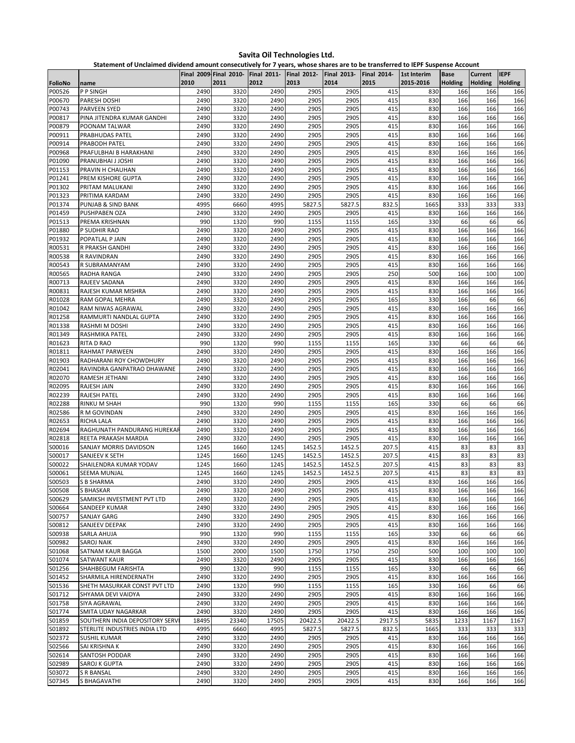**Statement of Unclaimed dividend amount consecutively for 7 years, whose shares are to be transferred to IEPF Suspense Account**

|                  |                                                      |              | Final 2009 Final 2010- | <b>Final 2011-</b> | <b>Final 2012-</b> | <b>Final 2013-</b> | <b>Final 2014-</b> | 1st Interim | <b>Base</b>    | <b>Current</b> | <b>IEPF</b>    |
|------------------|------------------------------------------------------|--------------|------------------------|--------------------|--------------------|--------------------|--------------------|-------------|----------------|----------------|----------------|
| FolioNo          | name                                                 | 2010         | 2011                   | 2012               | 2013               | 2014               | 2015               | 2015-2016   | <b>Holding</b> | <b>Holding</b> | <b>Holding</b> |
| P00526           | P P SINGH                                            | 2490         | 3320                   | 2490               | 2905               | 2905               | 415                | 830         | 166            | 166            | 166            |
| P00670           | PARESH DOSHI                                         | 2490         | 3320                   | 2490               | 2905               | 2905               | 415                | 830         | 166            | 166            | 166            |
| P00743           | <b>PARVEEN SYED</b>                                  | 2490         | 3320                   | 2490               | 2905               | 2905               | 415                | 830         | 166            | 166            | 166            |
| P00817           | PINA JITENDRA KUMAR GANDHI                           | 2490         | 3320                   | 2490               | 2905               | 2905               | 415                | 830         | 166            | 166            | 166            |
| P00879           | POONAM TALWAR                                        | 2490         | 3320                   | 2490               | 2905               | 2905               | 415                | 830         | 166            | 166            | 166            |
| P00911           | <b>PRABHUDAS PATEL</b>                               | 2490         | 3320                   | 2490               | 2905               | 2905               | 415                | 830         | 166            | 166            | 166            |
| P00914           | PRABODH PATEL                                        | 2490         | 3320                   | 2490               | 2905               | 2905               | 415                | 830         | 166            | 166            | 166            |
| P00968           | PRAFULBHAI B HARAKHANI                               | 2490         | 3320                   | 2490               | 2905               | 2905               | 415                | 830         | 166            | 166            | 166            |
| P01090           | PRANUBHAI J JOSHI                                    | 2490         | 3320                   | 2490               | 2905               | 2905               | 415                | 830         | 166            | 166            | 166            |
| P01153           | PRAVIN H CHAUHAN                                     | 2490         | 3320                   | 2490               | 2905               | 2905               | 415                | 830         | 166            | 166            | 166<br>166     |
| P01241           | PREM KISHORE GUPTA                                   | 2490<br>2490 | 3320                   | 2490<br>2490       | 2905<br>2905       | 2905<br>2905       | 415<br>415         | 830         | 166<br>166     | 166<br>166     | 166            |
| P01302<br>P01323 | PRITAM MALUKANI<br>PRITIMA KARDAM                    | 2490         | 3320<br>3320           | 2490               | 2905               | 2905               | 415                | 830<br>830  | 166            | 166            | 166            |
| P01374           | PUNJAB & SIND BANK                                   | 4995         | 6660                   | 4995               | 5827.5             | 5827.5             | 832.5              | 1665        | 333            | 333            | 333            |
| P01459           | PUSHPABEN OZA                                        | 2490         | 3320                   | 2490               | 2905               | 2905               | 415                | 830         | 166            | 166            | 166            |
| P01513           | PREMA KRISHNAN                                       | 990          | 1320                   | 990                | 1155               | 1155               | 165                | 330         | 66             | 66             | 66             |
| P01880           | P SUDHIR RAO                                         | 2490         | 3320                   | 2490               | 2905               | 2905               | 415                | 830         | 166            | 166            | 166            |
| P01932           | POPATLAL P JAIN                                      | 2490         | 3320                   | 2490               | 2905               | 2905               | 415                | 830         | 166            | 166            | 166            |
| R00531           | R PRAKSH GANDHI                                      | 2490         | 3320                   | 2490               | 2905               | 2905               | 415                | 830         | 166            | 166            | 166            |
| R00538           | R RAVINDRAN                                          | 2490         | 3320                   | 2490               | 2905               | 2905               | 415                | 830         | 166            | 166            | 166            |
| R00543           | R SUBRAMANYAM                                        | 2490         | 3320                   | 2490               | 2905               | 2905               | 415                | 830         | 166            | 166            | 166            |
| R00565           | RADHA RANGA                                          | 2490         | 3320                   | 2490               | 2905               | 2905               | 250                | 500         | 166            | 100            | 100            |
| R00713           | RAJEEV SADANA                                        | 2490         | 3320                   | 2490               | 2905               | 2905               | 415                | 830         | 166            | 166            | 166            |
| R00831           | RAJESH KUMAR MISHRA                                  | 2490         | 3320                   | 2490               | 2905               | 2905               | 415                | 830         | 166            | 166            | 166            |
| R01028           | RAM GOPAL MEHRA                                      | 2490         | 3320                   | 2490               | 2905               | 2905               | 165                | 330         | 166            | 66             | 66             |
| R01042           | RAM NIWAS AGRAWAL                                    | 2490         | 3320                   | 2490               | 2905               | 2905               | 415                | 830         | 166            | 166            | 166            |
| R01258           | RAMMURTI NANDLAL GUPTA                               | 2490         | 3320                   | 2490               | 2905               | 2905               | 415                | 830         | 166            | 166            | 166            |
| R01338           | RASHMI M DOSHI                                       | 2490         | 3320                   | 2490               | 2905               | 2905               | 415                | 830         | 166            | 166            | 166            |
| R01349           | RASHMIKA PATEL                                       | 2490         | 3320                   | 2490               | 2905               | 2905               | 415                | 830         | 166            | 166            | 166            |
| R01623           | <b>RITA D RAO</b>                                    | 990          | 1320                   | 990                | 1155               | 1155               | 165                | 330         | 66             | 66             | 66             |
| R01811           | <b>RAHMAT PARWEEN</b>                                | 2490         | 3320                   | 2490               | 2905               | 2905               | 415                | 830         | 166            | 166            | 166            |
| R01903           | RADHARANI ROY CHOWDHURY                              | 2490         | 3320                   | 2490               | 2905               | 2905               | 415                | 830         | 166            | 166            | 166            |
| R02041           | RAVINDRA GANPATRAO DHAWANE                           | 2490         | 3320                   | 2490               | 2905               | 2905               | 415                | 830         | 166            | 166            | 166            |
| R02070           | RAMESH JETHANI                                       | 2490         | 3320                   | 2490               | 2905               | 2905               | 415                | 830         | 166            | 166            | 166            |
| R02095<br>R02239 | RAJESH JAIN                                          | 2490<br>2490 | 3320<br>3320           | 2490<br>2490       | 2905<br>2905       | 2905<br>2905       | 415<br>415         | 830<br>830  | 166<br>166     | 166<br>166     | 166<br>166     |
| R02288           | <b>RAJESH PATEL</b><br>RINKU M SHAH                  | 990          | 1320                   | 990                | 1155               | 1155               | 165                | 330         | 66             | 66             | 66             |
| R02586           | R M GOVINDAN                                         | 2490         | 3320                   | 2490               | 2905               | 2905               | 415                | 830         | 166            | 166            | 166            |
| R02653           | <b>RICHA LALA</b>                                    | 2490         | 3320                   | 2490               | 2905               | 2905               | 415                | 830         | 166            | 166            | 166            |
| R02694           | RAGHUNATH PANDURANG HUREKAF                          | 2490         | 3320                   | 2490               | 2905               | 2905               | 415                | 830         | 166            | 166            | 166            |
| R02818           | <b>REETA PRAKASH MARDIA</b>                          | 2490         | 3320                   | 2490               | 2905               | 2905               | 415                | 830         | 166            | 166            | 166            |
| S00016           | <b>SANJAY MORRIS DAVIDSON</b>                        | 1245         | 1660                   | 1245               | 1452.5             | 1452.5             | 207.5              | 415         | 83             | 83             | 83             |
| S00017           | SANJEEV K SETH                                       | 1245         | 1660                   | 1245               | 1452.5             | 1452.5             | 207.5              | 415         | 83             | 83             | 83             |
| S00022           | SHAILENDRA KUMAR YODAV                               | 1245         | 1660                   | 1245               | 1452.5             | 1452.5             | 207.5              | 415         | 83             | 83             | 83             |
| S00061           | <b>SEEMA MUNJAL</b>                                  | 1245         | 1660                   | 1245               | 1452.5             | 1452.5             | 207.5              | 415         | 83             | 83             | 83             |
| S00503           | <b>S B SHARMA</b>                                    | 2490         | 3320                   | 2490               | 2905               | 2905               | 415                | 830         | 166            | 166            | 166            |
| <b>SO0508</b>    | S BHASKAR                                            | 2490         | 3320                   | 2490               | 2905               | 2905               | 415                | 830         | 166            | 166            | 166            |
| S00629           | SAMIKSH INVESTMENT PVT LTD                           | 2490         | 3320                   | 2490               | 2905               | 2905               | 415                | 830         | 166            | 166            | 166            |
| S00664           | SANDEEP KUMAR                                        | 2490         | 3320                   | 2490               | 2905               | 2905               | 415                | 830         | 166            | 166            | 166            |
| S00757           | <b>SANJAY GARG</b>                                   | 2490         | 3320                   | 2490               | 2905               | 2905               | 415                | 830         | 166            | 166            | 166            |
| S00812           | SANJEEV DEEPAK                                       | 2490         | 3320                   | 2490               | 2905               | 2905               | 415                | 830         | 166            | 166            | 166            |
| S00938           | SARLA AHUJA                                          | 990          | 1320                   | 990                | 1155               | 1155               | 165                | 330         | 66             | 66             | 66             |
| S00982           | <b>SAROJ NAIK</b>                                    | 2490         | 3320                   | 2490               | 2905               | 2905               | 415                | 830         | 166            | 166            | 166            |
| S01068           | SATNAM KAUR BAGGA                                    | 1500         | 2000                   | 1500               | 1750               | 1750               | 250                | 500         | 100            | 100            | 100            |
| S01074           | <b>SATWANT KAUR</b>                                  | 2490         | 3320                   | 2490               | 2905               | 2905               | 415                | 830         | 166            | 166            | 166            |
| S01256           | SHAHBEGUM FARISHTA                                   | 990          | 1320                   | 990                | 1155               | 1155               | 165                | 330         | 66             | 66             | 66             |
| S01452           | SHARMILA HIRENDERNATH                                | 2490         | 3320                   | 2490               | 2905               | 2905               | 415                | 830         | 166            | 166            | 166            |
| S01536           | SHETH MASURKAR CONST PVT LTD                         | 2490         | 1320                   | 990                | 1155               | 1155               | 165                | 330         | 166            | 66             | 66             |
| S01712           | SHYAMA DEVI VAIDYA                                   | 2490         | 3320                   | 2490               | 2905               | 2905               | 415                | 830         | 166            | 166            | 166            |
| S01758           | SIYA AGRAWAL                                         | 2490         | 3320                   | 2490               | 2905               | 2905               | 415                | 830         | 166            | 166            | 166            |
| S01774           | SMITA UDAY NAGARKAR                                  | 2490         | 3320                   | 2490               | 2905               | 2905               | 415                | 830         | 166            | 166            | 166            |
| S01859           | SOUTHERN INDIA DEPOSITORY SERVI                      | 18495        | 23340                  | 17505              | 20422.5            | 20422.5            | 2917.5             | 5835        | 1233           | 1167           | 1167           |
| S01892<br>S02372 | STERLITE INDUSTRIES INDIA LTD<br><b>SUSHIL KUMAR</b> | 4995<br>2490 | 6660<br>3320           | 4995<br>2490       | 5827.5<br>2905     | 5827.5<br>2905     | 832.5<br>415       | 1665<br>830 | 333<br>166     | 333<br>166     | 333<br>166     |
| S02566           | SAI KRISHNA K                                        | 2490         | 3320                   | 2490               | 2905               | 2905               | 415                | 830         | 166            | 166            | 166            |
| S02614           | <b>SANTOSH PODDAR</b>                                | 2490         | 3320                   | 2490               | 2905               | 2905               | 415                | 830         | 166            | 166            | 166            |
| S02989           | SAROJ K GUPTA                                        | 2490         | 3320                   | 2490               | 2905               | 2905               | 415                | 830         | 166            | 166            | 166            |
| S03072           | <b>S R BANSAL</b>                                    | 2490         | 3320                   | 2490               | 2905               | 2905               | 415                | 830         | 166            | 166            | 166            |
| S07345           | S BHAGAVATHI                                         | 2490         | 3320                   | 2490               | 2905               | 2905               | 415                | 830         | 166            | 166            | 166            |